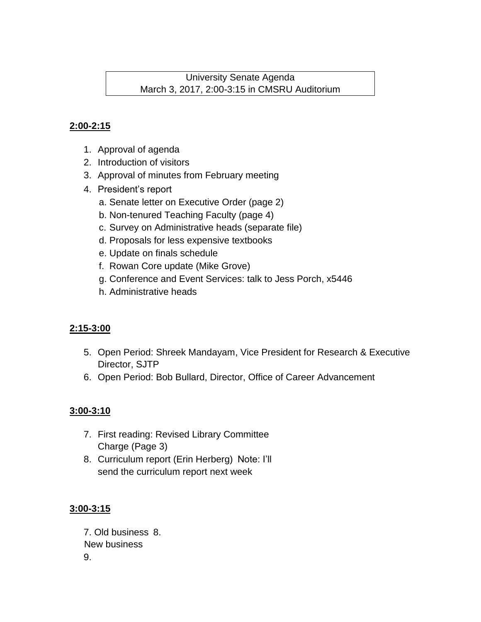University Senate Agenda March 3, 2017, 2:00-3:15 in CMSRU Auditorium

# **2:00-2:15**

- 1. Approval of agenda
- 2. Introduction of visitors
- 3. Approval of minutes from February meeting
- 4. President's report
	- a. Senate letter on Executive Order (page 2)
	- b. Non-tenured Teaching Faculty (page 4)
	- c. Survey on Administrative heads (separate file)
	- d. Proposals for less expensive textbooks
	- e. Update on finals schedule
	- f. Rowan Core update (Mike Grove)
	- g. Conference and Event Services: talk to Jess Porch, x5446
	- h. Administrative heads

# **2:15-3:00**

- 5. Open Period: Shreek Mandayam, Vice President for Research & Executive Director, SJTP
- 6. Open Period: Bob Bullard, Director, Office of Career Advancement

## **3:00-3:10**

- 7. First reading: Revised Library Committee Charge (Page 3)
- 8. Curriculum report (Erin Herberg) Note: I'll send the curriculum report next week

## **3:00-3:15**

7. Old business 8. New business 9.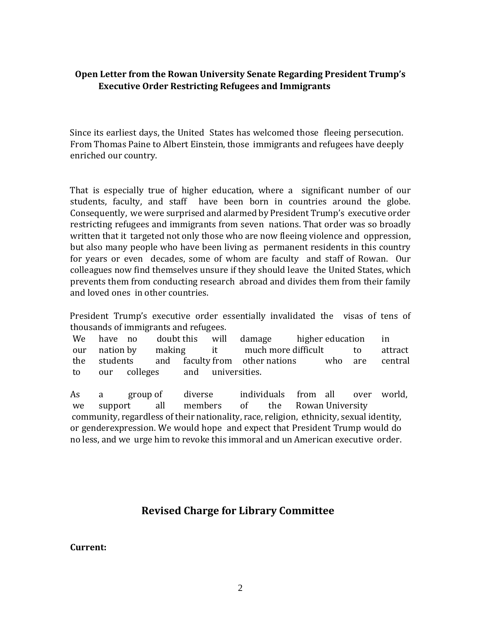### **Open Letter from the Rowan University Senate Regarding President Trump's Executive Order Restricting Refugees and Immigrants**

Since its earliest days, the United States has welcomed those fleeing persecution. From Thomas Paine to Albert Einstein, those immigrants and refugees have deeply enriched our country.

That is especially true of higher education, where a significant number of our students, faculty, and staff have been born in countries around the globe. Consequently, we were surprised and alarmed by President Trump's executive order restricting refugees and immigrants from seven nations. That order was so broadly written that it targeted not only those who are now fleeing violence and oppression, but also many people who have been living as permanent residents in this country for years or even decades, some of whom are faculty and staff of Rowan. Our colleagues now find themselves unsure if they should leave the United States, which prevents them from conducting research abroad and divides them from their family and loved ones in other countries.

President Trump's executive order essentially invalidated the visas of tens of thousands of immigrants and refugees.

We have no doubt this will damage higher education in our nation by making it much more difficult to attract the students and faculty from other nations who are central to our colleges and universities.

As a group of diverse individuals from all over world, we support all members of the Rowan University community, regardless of their nationality, race, religion, ethnicity, sexual identity, or genderexpression. We would hope and expect that President Trump would do no less, and we urge him to revoke this immoral and un American executive order.

# **Revised Charge for Library Committee**

#### **Current:**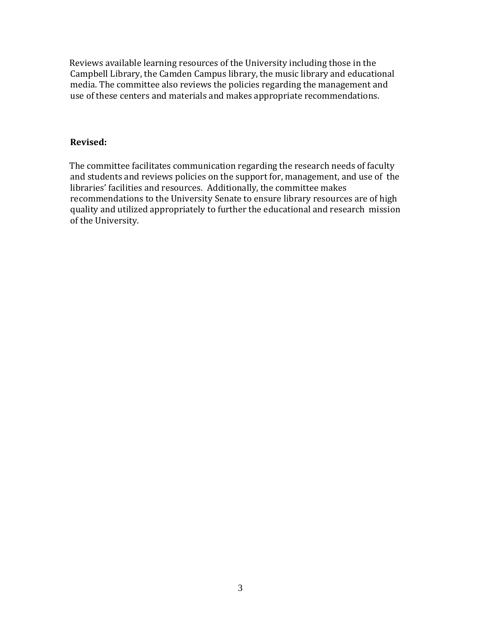Reviews available learning resources of the University including those in the Campbell Library, the Camden Campus library, the music library and educational media. The committee also reviews the policies regarding the management and use of these centers and materials and makes appropriate recommendations.

#### **Revised:**

The committee facilitates communication regarding the research needs of faculty and students and reviews policies on the support for, management, and use of the libraries' facilities and resources. Additionally, the committee makes recommendations to the University Senate to ensure library resources are of high quality and utilized appropriately to further the educational and research mission of the University.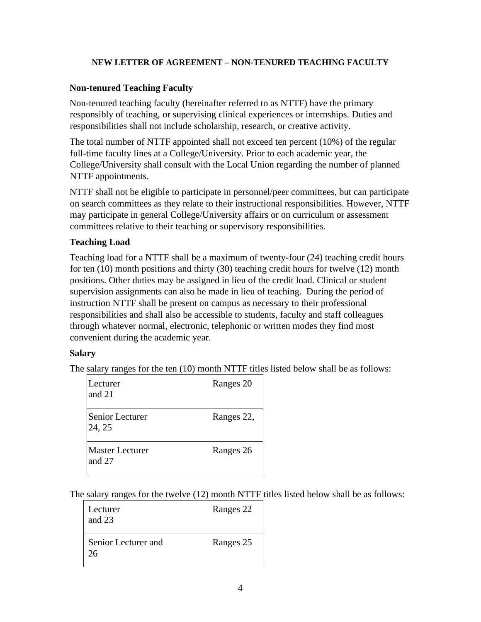#### **NEW LETTER OF AGREEMENT – NON-TENURED TEACHING FACULTY**

#### **Non-tenured Teaching Faculty**

Non-tenured teaching faculty (hereinafter referred to as NTTF) have the primary responsibly of teaching, or supervising clinical experiences or internships. Duties and responsibilities shall not include scholarship, research, or creative activity.

The total number of NTTF appointed shall not exceed ten percent (10%) of the regular full-time faculty lines at a College/University. Prior to each academic year, the College/University shall consult with the Local Union regarding the number of planned NTTF appointments.

NTTF shall not be eligible to participate in personnel/peer committees, but can participate on search committees as they relate to their instructional responsibilities. However, NTTF may participate in general College/University affairs or on curriculum or assessment committees relative to their teaching or supervisory responsibilities.

#### **Teaching Load**

Teaching load for a NTTF shall be a maximum of twenty-four (24) teaching credit hours for ten (10) month positions and thirty (30) teaching credit hours for twelve (12) month positions. Other duties may be assigned in lieu of the credit load. Clinical or student supervision assignments can also be made in lieu of teaching. During the period of instruction NTTF shall be present on campus as necessary to their professional responsibilities and shall also be accessible to students, faculty and staff colleagues through whatever normal, electronic, telephonic or written modes they find most convenient during the academic year.

#### **Salary**

The salary ranges for the ten (10) month NTTF titles listed below shall be as follows:

| Lecturer<br>and 21               | Ranges 20  |
|----------------------------------|------------|
| Senior Lecturer<br>24, 25        | Ranges 22, |
| <b>Master Lecturer</b><br>and 27 | Ranges 26  |

The salary ranges for the twelve (12) month NTTF titles listed below shall be as follows:

| Lecturer<br>and $23$      | Ranges 22 |
|---------------------------|-----------|
| Senior Lecturer and<br>26 | Ranges 25 |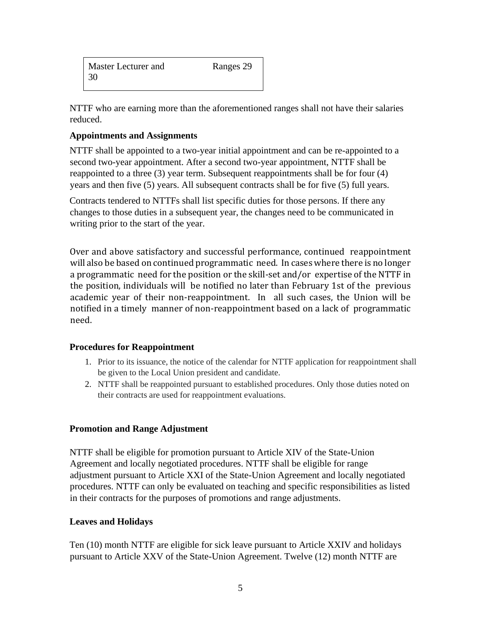| Master Lecturer and | Ranges 29 |
|---------------------|-----------|
| -30                 |           |

NTTF who are earning more than the aforementioned ranges shall not have their salaries reduced.

#### **Appointments and Assignments**

NTTF shall be appointed to a two-year initial appointment and can be re-appointed to a second two-year appointment. After a second two-year appointment, NTTF shall be reappointed to a three (3) year term. Subsequent reappointments shall be for four (4) years and then five (5) years. All subsequent contracts shall be for five (5) full years.

Contracts tendered to NTTFs shall list specific duties for those persons. If there any changes to those duties in a subsequent year, the changes need to be communicated in writing prior to the start of the year.

Over and above satisfactory and successful performance, continued reappointment will also be based on continued programmatic need. In cases where there is no longer a programmatic need for the position or the skill-set and/or expertise of the NTTF in the position, individuals will be notified no later than February 1st of the previous academic year of their non-reappointment. In all such cases, the Union will be notified in a timely manner of non-reappointment based on a lack of programmatic need.

#### **Procedures for Reappointment**

- 1. Prior to its issuance, the notice of the calendar for NTTF application for reappointment shall be given to the Local Union president and candidate.
- 2. NTTF shall be reappointed pursuant to established procedures. Only those duties noted on their contracts are used for reappointment evaluations.

#### **Promotion and Range Adjustment**

NTTF shall be eligible for promotion pursuant to Article XIV of the State-Union Agreement and locally negotiated procedures. NTTF shall be eligible for range adjustment pursuant to Article XXI of the State-Union Agreement and locally negotiated procedures. NTTF can only be evaluated on teaching and specific responsibilities as listed in their contracts for the purposes of promotions and range adjustments.

#### **Leaves and Holidays**

Ten (10) month NTTF are eligible for sick leave pursuant to Article XXIV and holidays pursuant to Article XXV of the State-Union Agreement. Twelve (12) month NTTF are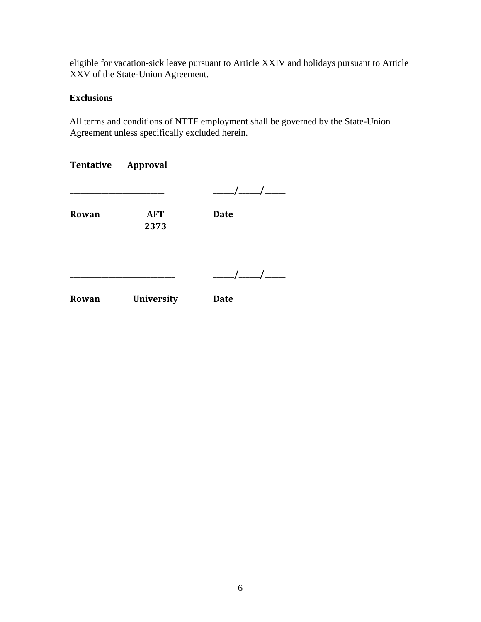eligible for vacation-sick leave pursuant to Article XXIV and holidays pursuant to Article XXV of the State-Union Agreement.

### **Exclusions**

All terms and conditions of NTTF employment shall be governed by the State-Union Agreement unless specifically excluded herein.

|       | Tentative Approval |                                   |
|-------|--------------------|-----------------------------------|
|       |                    | $\frac{\frac{1}{2}}{\frac{1}{2}}$ |
| Rowan | <b>AFT</b><br>2373 | <b>Date</b>                       |
|       |                    | $\frac{\frac{1}{2}}{\frac{1}{2}}$ |
| Rowan | <b>University</b>  | <b>Date</b>                       |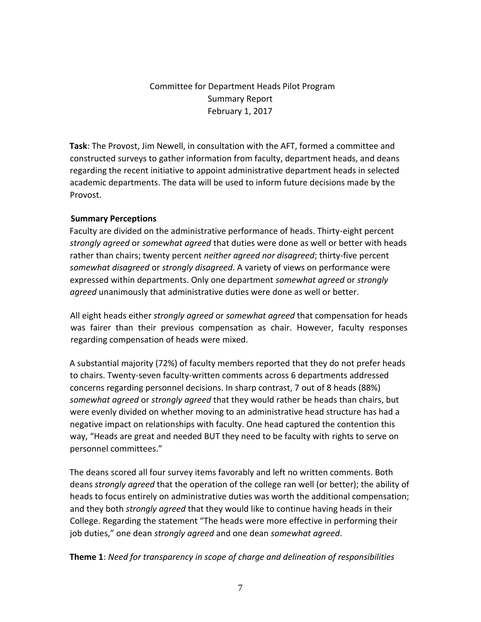# Committee for Department Heads Pilot Program Summary Report February 1, 2017

**Task**: The Provost, Jim Newell, in consultation with the AFT, formed a committee and constructed surveys to gather information from faculty, department heads, and deans regarding the recent initiative to appoint administrative department heads in selected academic departments. The data will be used to inform future decisions made by the Provost.

### **Summary Perceptions**

Faculty are divided on the administrative performance of heads. Thirty-eight percent *strongly agreed* or *somewhat agreed* that duties were done as well or better with heads rather than chairs; twenty percent *neither agreed nor disagreed*; thirty-five percent *somewhat disagreed* or *strongly disagreed*. A variety of views on performance were expressed within departments. Only one department *somewhat agreed* or *strongly agreed* unanimously that administrative duties were done as well or better.

All eight heads either *strongly agreed* or *somewhat agreed* that compensation for heads was fairer than their previous compensation as chair. However, faculty responses regarding compensation of heads were mixed.

A substantial majority (72%) of faculty members reported that they do not prefer heads to chairs. Twenty-seven faculty-written comments across 6 departments addressed concerns regarding personnel decisions. In sharp contrast, 7 out of 8 heads (88%) *somewhat agreed* or *strongly agreed* that they would rather be heads than chairs, but were evenly divided on whether moving to an administrative head structure has had a negative impact on relationships with faculty. One head captured the contention this way, "Heads are great and needed BUT they need to be faculty with rights to serve on personnel committees."

The deans scored all four survey items favorably and left no written comments. Both deans *strongly agreed* that the operation of the college ran well (or better); the ability of heads to focus entirely on administrative duties was worth the additional compensation; and they both *strongly agreed* that they would like to continue having heads in their College. Regarding the statement "The heads were more effective in performing their job duties," one dean *strongly agreed* and one dean *somewhat agreed*.

**Theme 1**: *Need for transparency in scope of charge and delineation of responsibilities*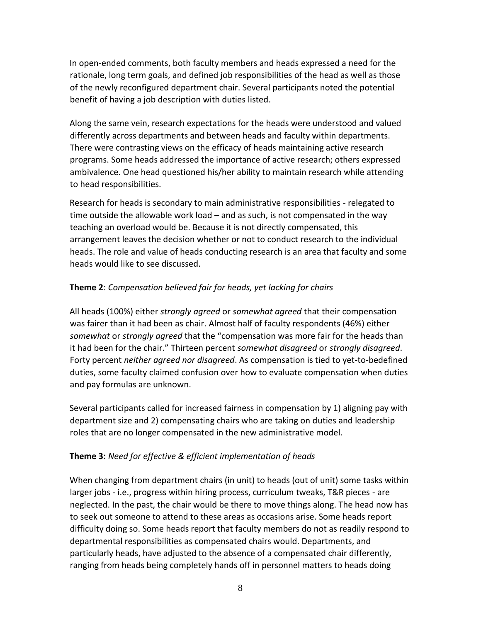In open-ended comments, both faculty members and heads expressed a need for the rationale, long term goals, and defined job responsibilities of the head as well as those of the newly reconfigured department chair. Several participants noted the potential benefit of having a job description with duties listed.

Along the same vein, research expectations for the heads were understood and valued differently across departments and between heads and faculty within departments. There were contrasting views on the efficacy of heads maintaining active research programs. Some heads addressed the importance of active research; others expressed ambivalence. One head questioned his/her ability to maintain research while attending to head responsibilities.

Research for heads is secondary to main administrative responsibilities - relegated to time outside the allowable work load – and as such, is not compensated in the way teaching an overload would be. Because it is not directly compensated, this arrangement leaves the decision whether or not to conduct research to the individual heads. The role and value of heads conducting research is an area that faculty and some heads would like to see discussed.

### **Theme 2**: *Compensation believed fair for heads, yet lacking for chairs*

All heads (100%) either *strongly agreed* or *somewhat agreed* that their compensation was fairer than it had been as chair. Almost half of faculty respondents (46%) either *somewhat* or *strongly agreed* that the "compensation was more fair for the heads than it had been for the chair." Thirteen percent *somewhat disagreed* or *strongly disagreed*. Forty percent *neither agreed nor disagreed*. As compensation is tied to yet-to-bedefined duties, some faculty claimed confusion over how to evaluate compensation when duties and pay formulas are unknown.

Several participants called for increased fairness in compensation by 1) aligning pay with department size and 2) compensating chairs who are taking on duties and leadership roles that are no longer compensated in the new administrative model.

## **Theme 3:** *Need for effective & efficient implementation of heads*

When changing from department chairs (in unit) to heads (out of unit) some tasks within larger jobs - i.e., progress within hiring process, curriculum tweaks, T&R pieces - are neglected. In the past, the chair would be there to move things along. The head now has to seek out someone to attend to these areas as occasions arise. Some heads report difficulty doing so. Some heads report that faculty members do not as readily respond to departmental responsibilities as compensated chairs would. Departments, and particularly heads, have adjusted to the absence of a compensated chair differently, ranging from heads being completely hands off in personnel matters to heads doing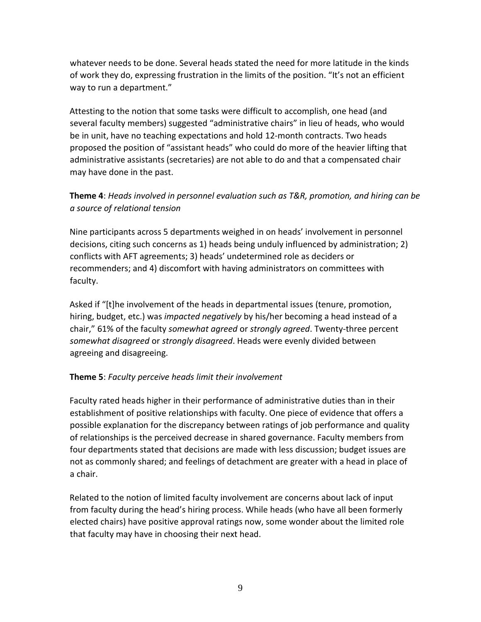whatever needs to be done. Several heads stated the need for more latitude in the kinds of work they do, expressing frustration in the limits of the position. "It's not an efficient way to run a department."

Attesting to the notion that some tasks were difficult to accomplish, one head (and several faculty members) suggested "administrative chairs" in lieu of heads, who would be in unit, have no teaching expectations and hold 12-month contracts. Two heads proposed the position of "assistant heads" who could do more of the heavier lifting that administrative assistants (secretaries) are not able to do and that a compensated chair may have done in the past.

# **Theme 4**: *Heads involved in personnel evaluation such as T&R, promotion, and hiring can be a source of relational tension*

Nine participants across 5 departments weighed in on heads' involvement in personnel decisions, citing such concerns as 1) heads being unduly influenced by administration; 2) conflicts with AFT agreements; 3) heads' undetermined role as deciders or recommenders; and 4) discomfort with having administrators on committees with faculty.

Asked if "[t]he involvement of the heads in departmental issues (tenure, promotion, hiring, budget, etc.) was *impacted negatively* by his/her becoming a head instead of a chair," 61% of the faculty *somewhat agreed* or *strongly agreed*. Twenty-three percent *somewhat disagreed* or *strongly disagreed*. Heads were evenly divided between agreeing and disagreeing.

### **Theme 5**: *Faculty perceive heads limit their involvement*

Faculty rated heads higher in their performance of administrative duties than in their establishment of positive relationships with faculty. One piece of evidence that offers a possible explanation for the discrepancy between ratings of job performance and quality of relationships is the perceived decrease in shared governance. Faculty members from four departments stated that decisions are made with less discussion; budget issues are not as commonly shared; and feelings of detachment are greater with a head in place of a chair.

Related to the notion of limited faculty involvement are concerns about lack of input from faculty during the head's hiring process. While heads (who have all been formerly elected chairs) have positive approval ratings now, some wonder about the limited role that faculty may have in choosing their next head.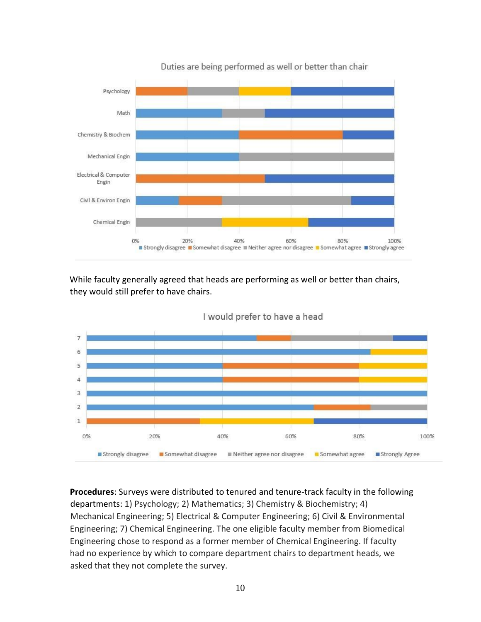

Duties are being performed as well or better than chair

While faculty generally agreed that heads are performing as well or better than chairs, they would still prefer to have chairs.



I would prefer to have a head

**Procedures**: Surveys were distributed to tenured and tenure-track faculty in the following departments: 1) Psychology; 2) Mathematics; 3) Chemistry & Biochemistry; 4) Mechanical Engineering; 5) Electrical & Computer Engineering; 6) Civil & Environmental Engineering; 7) Chemical Engineering. The one eligible faculty member from Biomedical Engineering chose to respond as a former member of Chemical Engineering. If faculty had no experience by which to compare department chairs to department heads, we asked that they not complete the survey.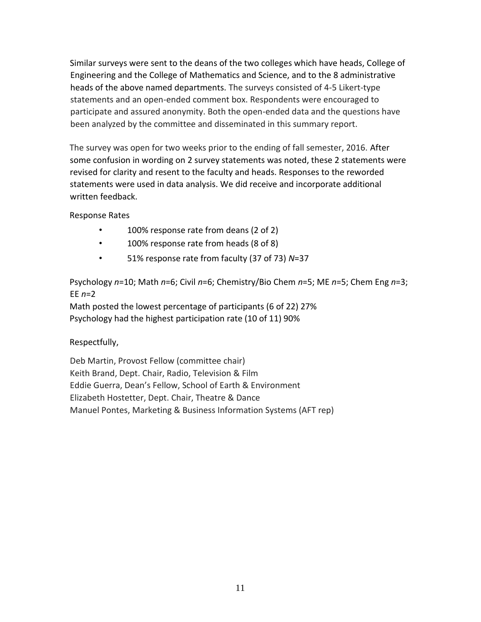Similar surveys were sent to the deans of the two colleges which have heads, College of Engineering and the College of Mathematics and Science, and to the 8 administrative heads of the above named departments. The surveys consisted of 4-5 Likert-type statements and an open-ended comment box. Respondents were encouraged to participate and assured anonymity. Both the open-ended data and the questions have been analyzed by the committee and disseminated in this summary report.

The survey was open for two weeks prior to the ending of fall semester, 2016. After some confusion in wording on 2 survey statements was noted, these 2 statements were revised for clarity and resent to the faculty and heads. Responses to the reworded statements were used in data analysis. We did receive and incorporate additional written feedback.

Response Rates

- 100% response rate from deans (2 of 2)
- 100% response rate from heads (8 of 8)
- 51% response rate from faculty (37 of 73) *N*=37

Psychology *n*=10; Math *n*=6; Civil *n*=6; Chemistry/Bio Chem *n*=5; ME *n*=5; Chem Eng *n*=3; EE *n*=2

Math posted the lowest percentage of participants (6 of 22) 27% Psychology had the highest participation rate (10 of 11) 90%

Respectfully,

Deb Martin, Provost Fellow (committee chair) Keith Brand, Dept. Chair, Radio, Television & Film Eddie Guerra, Dean's Fellow, School of Earth & Environment Elizabeth Hostetter, Dept. Chair, Theatre & Dance Manuel Pontes, Marketing & Business Information Systems (AFT rep)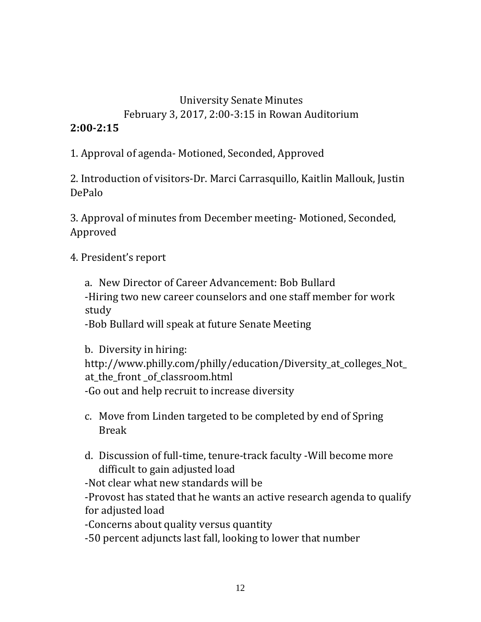# University Senate Minutes February 3, 2017, 2:00-3:15 in Rowan Auditorium

# **2:00-2:15**

1. Approval of agenda- Motioned, Seconded, Approved

2. Introduction of visitors-Dr. Marci Carrasquillo, Kaitlin Mallouk, Justin DePalo

3. Approval of minutes from December meeting- Motioned, Seconded, Approved

4. President's report

a. New Director of Career Advancement: Bob Bullard -Hiring two new career counselors and one staff member for work study

-Bob Bullard will speak at future Senate Meeting

b. Diversity in hiring: http://www.philly.com/philly/education/Diversity\_at\_colleges\_Not\_ at the front of classroom.html -Go out and help recruit to increase diversity

- c. Move from Linden targeted to be completed by end of Spring Break
- d. Discussion of full-time, tenure-track faculty -Will become more difficult to gain adjusted load

-Not clear what new standards will be

-Provost has stated that he wants an active research agenda to qualify for adjusted load

-Concerns about quality versus quantity

-50 percent adjuncts last fall, looking to lower that number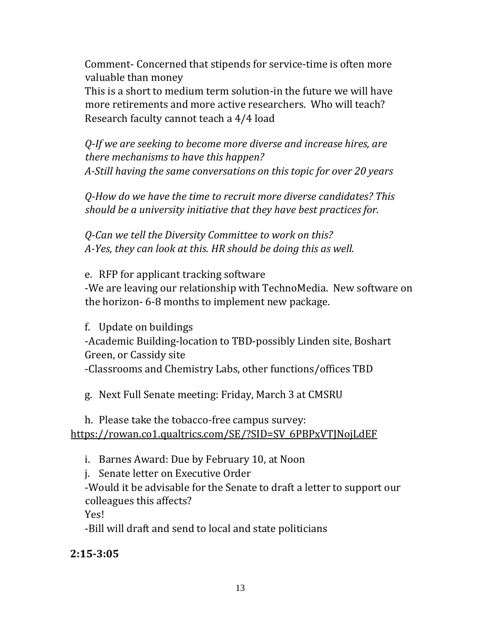Comment- Concerned that stipends for service-time is often more valuable than money This is a short to medium term solution-in the future we will have

more retirements and more active researchers. Who will teach? Research faculty cannot teach a 4/4 load

*Q-If we are seeking to become more diverse and increase hires, are there mechanisms to have this happen? A-Still having the same conversations on this topic for over 20 years* 

*Q-How do we have the time to recruit more diverse candidates? This should be a university initiative that they have best practices for.* 

*Q-Can we tell the Diversity Committee to work on this? A-Yes, they can look at this. HR should be doing this as well.* 

e. RFP for applicant tracking software -We are leaving our relationship with TechnoMedia. New software on the horizon- 6-8 months to implement new package.

f. Update on buildings -Academic Building-location to TBD-possibly Linden site, Boshart Green, or Cassidy site -Classrooms and Chemistry Labs, other functions/offices TBD

g. Next Full Senate meeting: Friday, March 3 at CMSRU

h. Please take the tobacco-free campus survey: [https://rowan.co1.qualtrics.com/SE/?SID=SV\\_6PBPxVTJNojLdEF](https://rowan.co1.qualtrics.com/SE/?SID=SV_6PBPxVTJNojLdEF)

i. Barnes Award: Due by February 10, at Noon

j. Senate letter on Executive Order

-Would it be advisable for the Senate to draft a letter to support our colleagues this affects?

Yes!

-Bill will draft and send to local and state politicians

# **2:15-3:05**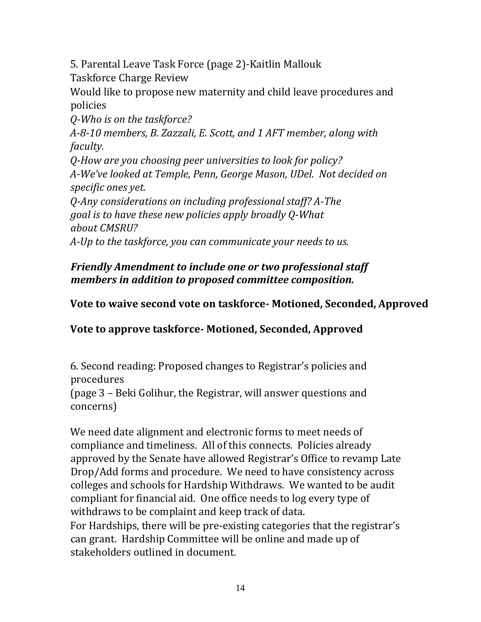5. Parental Leave Task Force (page 2)-Kaitlin Mallouk

Taskforce Charge Review

Would like to propose new maternity and child leave procedures and policies

*Q-Who is on the taskforce?* 

*A-8-10 members, B. Zazzali, E. Scott, and 1 AFT member, along with faculty.* 

*Q-How are you choosing peer universities to look for policy? A-We've looked at Temple, Penn, George Mason, UDel. Not decided on specific ones yet.* 

*Q-Any considerations on including professional staff? A-The goal is to have these new policies apply broadly Q-What about CMSRU?* 

*A-Up to the taskforce, you can communicate your needs to us.* 

# *Friendly Amendment to include one or two professional staff members in addition to proposed committee composition.*

# **Vote to waive second vote on taskforce- Motioned, Seconded, Approved**

**Vote to approve taskforce- Motioned, Seconded, Approved** 

6. Second reading: Proposed changes to Registrar's policies and procedures

(page 3 – Beki Golihur, the Registrar, will answer questions and concerns)

We need date alignment and electronic forms to meet needs of compliance and timeliness. All of this connects. Policies already approved by the Senate have allowed Registrar's Office to revamp Late Drop/Add forms and procedure. We need to have consistency across colleges and schools for Hardship Withdraws. We wanted to be audit compliant for financial aid. One office needs to log every type of withdraws to be complaint and keep track of data. For Hardships, there will be pre-existing categories that the registrar's can grant. Hardship Committee will be online and made up of stakeholders outlined in document.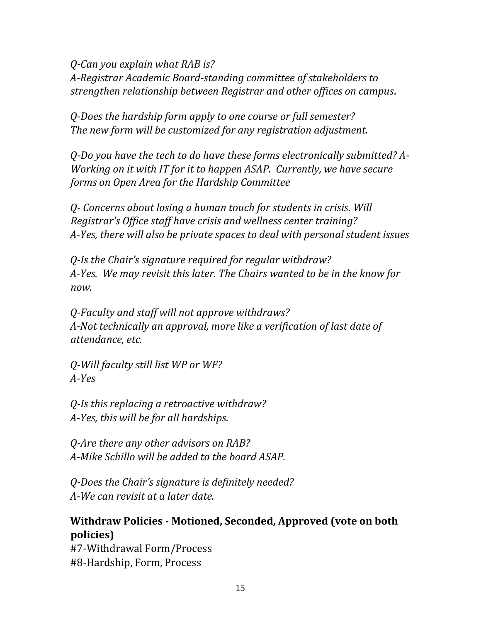*Q-Can you explain what RAB is? A-Registrar Academic Board-standing committee of stakeholders to strengthen relationship between Registrar and other offices on campus*.

*Q-Does the hardship form apply to one course or full semester? The new form will be customized for any registration adjustment.* 

*Q-Do you have the tech to do have these forms electronically submitted? A-Working on it with IT for it to happen ASAP. Currently, we have secure forms on Open Area for the Hardship Committee* 

*Q- Concerns about losing a human touch for students in crisis. Will Registrar's Office staff have crisis and wellness center training? A-Yes, there will also be private spaces to deal with personal student issues* 

*Q-Is the Chair's signature required for regular withdraw? A-Yes. We may revisit this later. The Chairs wanted to be in the know for now.* 

*Q-Faculty and staff will not approve withdraws? A-Not technically an approval, more like a verification of last date of attendance, etc.* 

*Q-Will faculty still list WP or WF? A-Yes* 

*Q-Is this replacing a retroactive withdraw? A-Yes, this will be for all hardships.* 

*Q-Are there any other advisors on RAB? A-Mike Schillo will be added to the board ASAP.* 

*Q-Does the Chair's signature is definitely needed? A-We can revisit at a later date.* 

# **Withdraw Policies - Motioned, Seconded, Approved (vote on both policies)**

#7-Withdrawal Form/Process #8-Hardship, Form, Process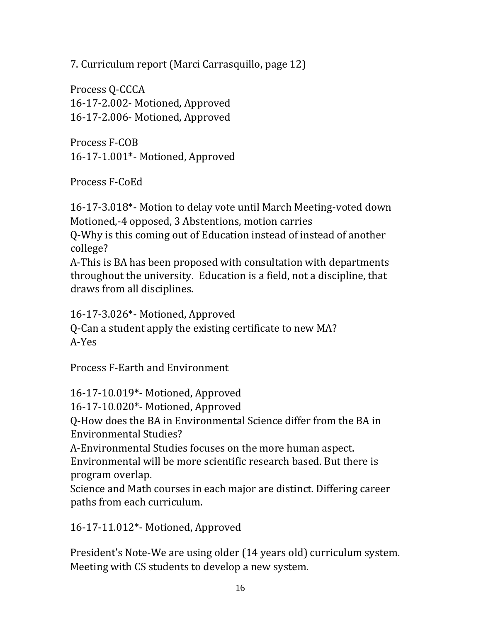7. Curriculum report (Marci Carrasquillo, page 12)

Process Q-CCCA 16-17-2.002- Motioned, Approved 16-17-2.006- Motioned, Approved

Process F-COB 16-17-1.001\*- Motioned, Approved

Process F-CoEd

16-17-3.018\*- Motion to delay vote until March Meeting-voted down Motioned,-4 opposed, 3 Abstentions, motion carries

Q-Why is this coming out of Education instead of instead of another college?

A-This is BA has been proposed with consultation with departments throughout the university. Education is a field, not a discipline, that draws from all disciplines.

16-17-3.026\*- Motioned, Approved Q-Can a student apply the existing certificate to new MA? A-Yes

Process F-Earth and Environment

16-17-10.019\*- Motioned, Approved

16-17-10.020\*- Motioned, Approved

Q-How does the BA in Environmental Science differ from the BA in Environmental Studies?

A-Environmental Studies focuses on the more human aspect.

Environmental will be more scientific research based. But there is program overlap.

Science and Math courses in each major are distinct. Differing career paths from each curriculum.

16-17-11.012\*- Motioned, Approved

President's Note-We are using older (14 years old) curriculum system. Meeting with CS students to develop a new system.